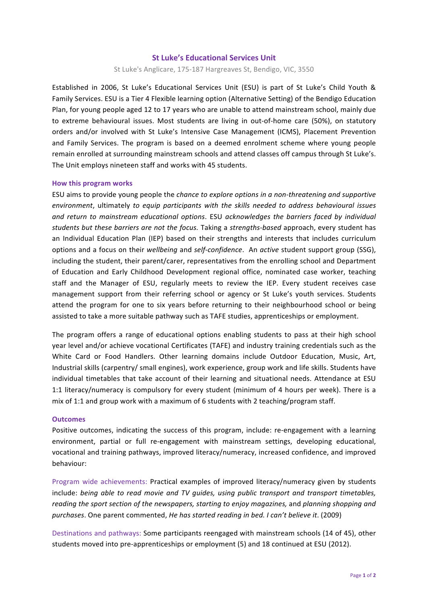# **St Luke's Educational Services Unit**

St Luke's Anglicare, 175-187 Hargreaves St, Bendigo, VIC, 3550

Established in 2006, St Luke's Educational Services Unit (ESU) is part of St Luke's Child Youth & Family Services. ESU is a Tier 4 Flexible learning option (Alternative Setting) of the Bendigo Education Plan, for young people aged 12 to 17 years who are unable to attend mainstream school, mainly due to extreme behavioural issues. Most students are living in out-of-home care (50%), on statutory orders and/or involved with St Luke's Intensive Case Management (ICMS), Placement Prevention and Family Services. The program is based on a deemed enrolment scheme where young people remain enrolled at surrounding mainstream schools and attend classes off campus through St Luke's. The Unit employs nineteen staff and works with 45 students.

## **How this program works**

ESU aims to provide young people the *chance to explore options in a non-threatening and supportive environment*, ultimately to equip participants with the skills needed to address behavioural issues and return to mainstream educational options. ESU acknowledges the barriers faced by individual students but these barriers are not the focus. Taking a strengths-based approach, every student has an Individual Education Plan (IEP) based on their strengths and interests that includes curriculum options and a focus on their *wellbeing* and *self-confidence*. An *active* student support group (SSG), including the student, their parent/carer, representatives from the enrolling school and Department of Education and Early Childhood Development regional office, nominated case worker, teaching staff and the Manager of ESU, regularly meets to review the IEP. Every student receives case management support from their referring school or agency or St Luke's youth services. Students attend the program for one to six years before returning to their neighbourhood school or being assisted to take a more suitable pathway such as TAFE studies, apprenticeships or employment.

The program offers a range of educational options enabling students to pass at their high school year level and/or achieve vocational Certificates (TAFE) and industry training credentials such as the White Card or Food Handlers. Other learning domains include Outdoor Education, Music, Art, Industrial skills (carpentry/ small engines), work experience, group work and life skills. Students have individual timetables that take account of their learning and situational needs. Attendance at ESU 1:1 literacy/numeracy is compulsory for every student (minimum of 4 hours per week). There is a mix of 1:1 and group work with a maximum of 6 students with 2 teaching/program staff.

### **Outcomes**

Positive outcomes, indicating the success of this program, include: re-engagement with a learning environment, partial or full re-engagement with mainstream settings, developing educational, vocational and training pathways, improved literacy/numeracy, increased confidence, and improved behaviour:

Program wide achievements: Practical examples of improved literacy/numeracy given by students include: *being able to read movie and TV quides, using public transport and transport timetables, reading* the sport section of the newspapers, starting to enjoy magazines, and planning shopping and purchases. One parent commented, *He has started reading in bed. I can't believe it.* (2009)

Destinations and pathways: Some participants reengaged with mainstream schools (14 of 45), other students moved into pre-apprenticeships or employment (5) and 18 continued at ESU (2012).